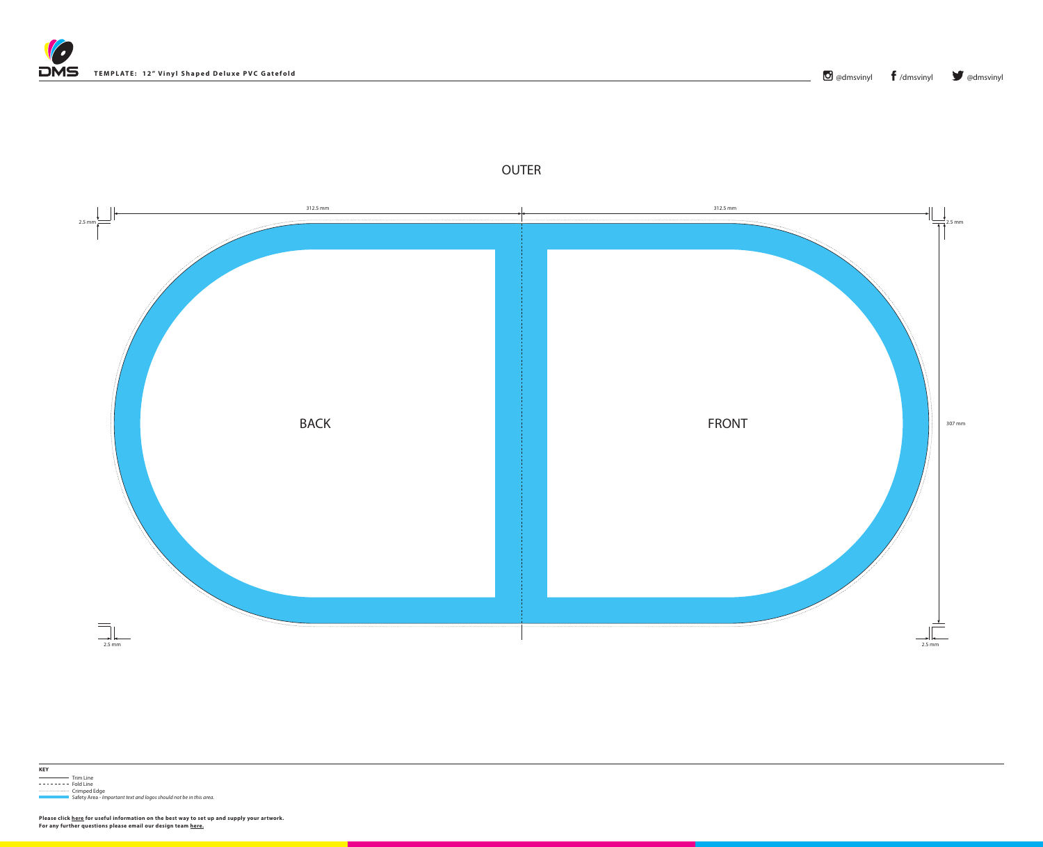



## OUTER



**Please click [here](https://www.discmanufacturingservices.com/vinyl/templates#artwork-specifications) for useful information on the best way to set up and supply your artwork. For any further questions please email our design team [here](mailto:graphics%40discmanufacturingservices.com?subject=Template%20Enquiry).**

,他们也不能在这里,他们的时候,他们也不能不能不能不能不能不能不能不能不能不能不能不能不能不能不能不能。<br>第2012章 我们的时候,我们的时候,我们的时候,我们的时候,我们的时候,我们的时候,我们的时候,我们的时候,我们的时候,我们的时候,我们的时候,我们的时候,我



Trim Line  $------$  Fold Line ..................... Crimped Edge

Safety Area - *Important text and logos should not be in this area*.